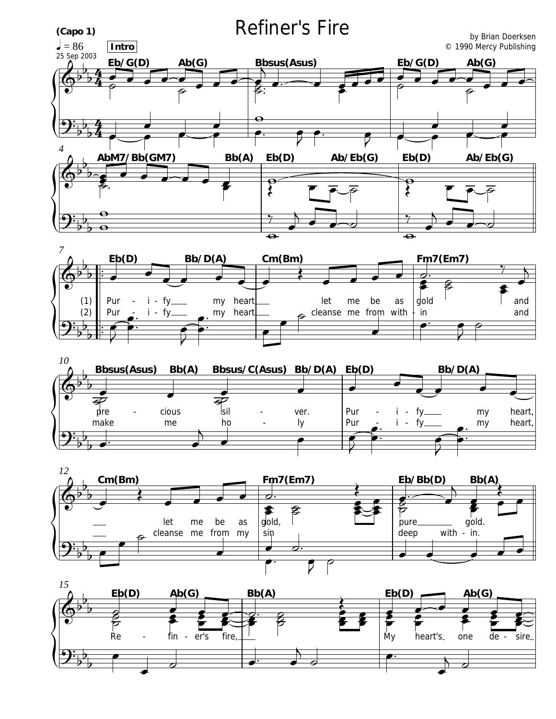